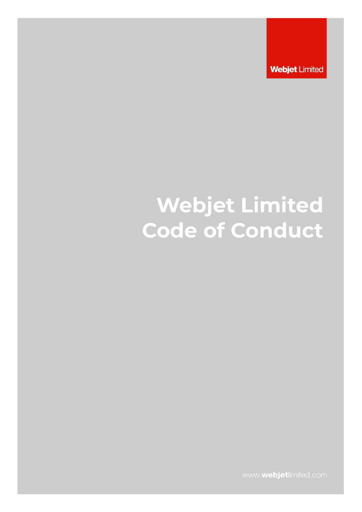**Webjet Limited** 

# **Webjet Limited Code of Conduct**

www.webjetlimited.com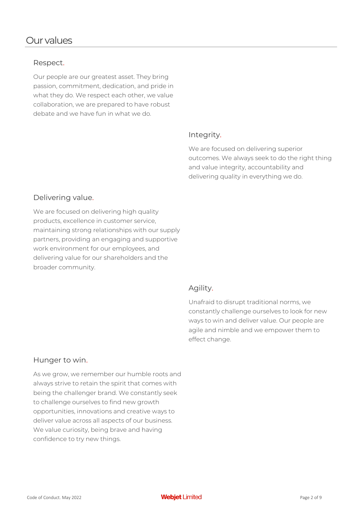# Our values

#### Respect.

Our people are our greatest asset. They bring passion, commitment, dedication, and pride in what they do. We respect each other, we value collaboration, we are prepared to have robust debate and we have fun in what we do.

#### Integrity.

We are focused on delivering superior outcomes. We always seek to do the right thing and value integrity, accountability and delivering quality in everything we do.

#### Delivering value.

We are focused on delivering high quality products, excellence in customer service, maintaining strong relationships with our supply partners, providing an engaging and supportive work environment for our employees, and delivering value for our shareholders and the broader community.

#### Agility.

Unafraid to disrupt traditional norms, we constantly challenge ourselves to look for new ways to win and deliver value. Our people are agile and nimble and we empower them to effect change.

### Hunger to win.

As we grow, we remember our humble roots and always strive to retain the spirit that comes with being the challenger brand. We constantly seek to challenge ourselves to find new growth opportunities, innovations and creative ways to deliver value across all aspects of our business. We value curiosity, being brave and having confidence to try new things.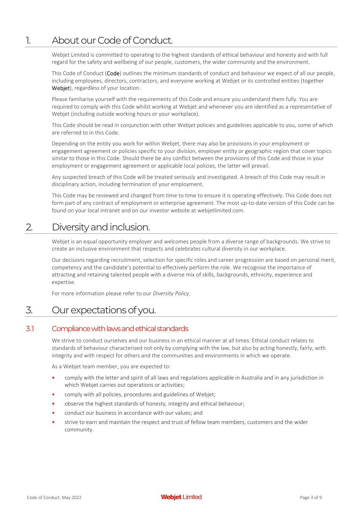# 1. About ourCode of Conduct.

Webjet Limited is committed to operating to the highest standards of ethical behaviour and honesty and with full regard for the safety and wellbeing of our people, customers, the wider community and the environment.

This Code of Conduct (Code) outlines the minimum standards of conduct and behaviour we expect of all our people, including employees, directors, contractors, and everyone working at Webjet or its controlled entities (together Webjet), regardless of your location.

Please familiarise yourself with the requirements of this Code and ensure you understand them fully. You are required to comply with this Code whilst working at Webjet and whenever you are identified as a representative of Webjet (including outside working hours or your workplace).

This Code should be read in conjunction with other Webjet policies and guidelines applicable to you, some of which are referred to in this Code.

Depending on the entity you work for within Webjet, there may also be provisions in your employment or engagement agreement or policies specific to your division, employer entity or geographic region that cover topics similar to those in this Code. Should there be any conflict between the provisions of this Code and those in your employment or engagement agreement or applicable local policies, the latter will prevail.

Any suspected breach of this Code will be treated seriously and investigated. A breach of this Code may result in disciplinary action, including termination of your employment.

This Code may be reviewed and changed from time to time to ensure it is operating effectively. This Code does not form part of any contract of employment or enterprise agreement. The most up-to-date version of this Code can be found on your local intranet and on our investor website at webjetlimited.com.

# 2. Diversity and inclusion.

Webjet is an equal opportunity employer and welcomes people from a diverse range of backgrounds. We strive to create an inclusive environment that respects and celebrates cultural diversity in our workplace.

Our decisions regarding recruitment, selection for specific roles and career progression are based on personal merit, competency and the candidate's potential to effectively perform the role. We recognise the importance of attracting and retaining talented people with a diverse mix of skills, backgrounds, ethnicity, experience and expertise.

For more information please refer to our *Diversity Policy*.

# 3. Our expectations of you.

#### 3.1 Compliance with laws and ethical standards

We strive to conduct ourselves and our business in an ethical manner at all times. Ethical conduct relates to standards of behaviour characterised not only by complying with the law, but also by acting honestly, fairly, with integrity and with respect for others and the communities and environments in which we operate.

As a Webjet team member, you are expected to:

- comply with the letter and spirit of all laws and regulations applicable in Australia and in any jurisdiction in which Webjet carries out operations or activities;
- comply with all policies, procedures and guidelines of Webjet;
- observe the highest standards of honesty, integrity and ethical behaviour;
- conduct our business in accordance with our values; and
- strive to earn and maintain the respect and trust of fellow team members, customers and the wider community.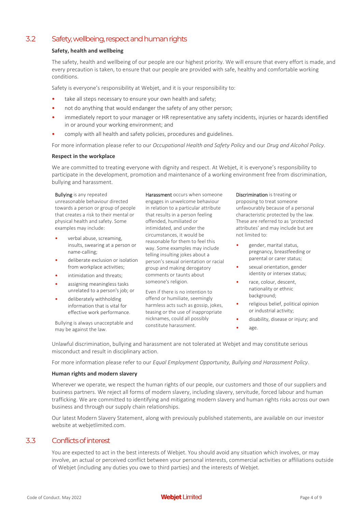### 3.2 Safety, wellbeing, respect and human rights

#### **Safety, health and wellbeing**

The safety, health and wellbeing of our people are our highest priority. We will ensure that every effort is made, and every precaution is taken, to ensure that our people are provided with safe, healthy and comfortable working conditions.

Safety is everyone's responsibility at Webjet, and it is your responsibility to:

- take all steps necessary to ensure your own health and safety:
- not do anything that would endanger the safety of any other person;
- immediately report to your manager or HR representative any safety incidents, injuries or hazards identified in or around your working environment; and
- comply with all health and safety policies, procedures and guidelines.

For more information please refer to our *Occupational Health and Safety Policy* and our *Drug and Alcohol Policy*.

#### **Respect in the workplace**

We are committed to treating everyone with dignity and respect. At Webiet, it is everyone's responsibility to participate in the development, promotion and maintenance of a working environment free from discrimination, bullying and harassment.

#### Bullying is any repeated unreasonable behaviour directed towards a person or group of people that creates a risk to their mental or physical health and safety. Some examples may include:

- verbal abuse, screaming, insults, swearing at a person or name-calling;
- deliberate exclusion or isolation from workplace activities;
- intimidation and threats;
- assigning meaningless tasks unrelated to a person's job; or
- deliberately withholding information that is vital for effective work performance.

Bullying is always unacceptable and may be against the law.

Harassment occurs when someone engages in unwelcome behaviour in relation to a particular attribute that results in a person feeling offended, humiliated or intimidated, and under the circumstances, it would be reasonable for them to feel this way. Some examples may include telling insulting jokes about a person's sexual orientation or racial group and making derogatory comments or taunts about someone's religion.

Even if there is no intention to offend or humiliate, seemingly harmless acts such as gossip, jokes, teasing or the use of inappropriate nicknames, could all possibly constitute harassment.

Discrimination is treating or proposing to treat someone unfavourably because of a personal characteristic protected by the law. These are referred to as 'protected attributes' and may include but are not limited to:

- gender, marital status, pregnancy, breastfeeding or parental or carer status;
- sexual orientation, gender identity or intersex status;
- race, colour, descent, nationality or ethnic background;
- religious belief, political opinion or industrial activity;
- disability, disease or injury; and
- age.

Unlawful discrimination, bullying and harassment are not tolerated at Webjet and may constitute serious misconduct and result in disciplinary action.

For more information please refer to our *Equal Employment Opportunity, Bullying and Harassment Policy*.

#### **Human rights and modern slavery**

Wherever we operate, we respect the human rights of our people, our customers and those of our suppliers and business partners. We reject all forms of modern slavery, including slavery, servitude, forced labour and human trafficking. We are committed to identifying and mitigating modern slavery and human rights risks across our own business and through our supply chain relationships.

Our latest Modern Slavery Statement, along with previously published statements, are available on our investor website at webjetlimited.com.

### 3.3 Conflicts of interest

You are expected to act in the best interests of Webjet. You should avoid any situation which involves, or may involve, an actual or perceived conflict between your personal interests, commercial activities or affiliations outside of Webjet (including any duties you owe to third parties) and the interests of Webjet.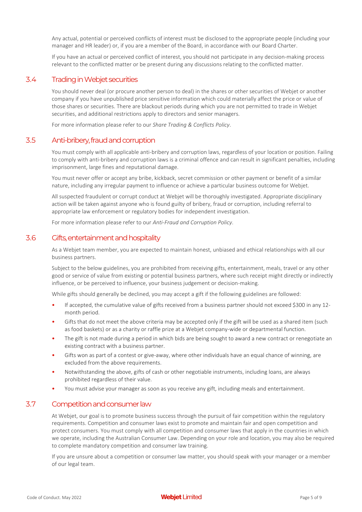Any actual, potential or perceived conflicts of interest must be disclosed to the appropriate people (including your manager and HR leader) or, if you are a member of the Board, in accordance with our Board Charter.

If you have an actual or perceived conflict of interest, you should not participate in any decision-making process relevant to the conflicted matter or be present during any discussions relating to the conflicted matter.

#### 3.4 Trading in Webjet securities

You should never deal (or procure another person to deal) in the shares or other securities of Webjet or another company if you have unpublished price sensitive information which could materially affect the price or value of those shares or securities. There are blackout periods during which you are not permitted to trade in Webjet securities, and additional restrictions apply to directors and senior managers.

For more information please refer to our *Share Trading & Conflicts Policy*.

#### 3.5 Anti-bribery, fraud and corruption

You must comply with all applicable anti-bribery and corruption laws, regardless of your location or position. Failing to comply with anti-bribery and corruption laws is a criminal offence and can result in significant penalties, including imprisonment, large fines and reputational damage.

You must never offer or accept any bribe, kickback, secret commission or other payment or benefit of a similar nature, including any irregular payment to influence or achieve a particular business outcome for Webjet.

All suspected fraudulent or corrupt conduct at Webjet will be thoroughly investigated. Appropriate disciplinary action will be taken against anyone who is found guilty of bribery, fraud or corruption, including referral to appropriate law enforcement or regulatory bodies for independent investigation.

For more information please refer to our *Anti-Fraud and Corruption Policy*.

#### 3.6 Gifts, entertainment and hospitality

As a Webjet team member, you are expected to maintain honest, unbiased and ethical relationships with all our business partners.

Subject to the below guidelines, you are prohibited from receiving gifts, entertainment, meals, travel or any other good or service of value from existing or potential business partners, where such receipt might directly or indirectly influence, or be perceived to influence, your business judgement or decision-making.

While gifts should generally be declined, you may accept a gift if the following guidelines are followed:

- If accepted, the cumulative value of gifts received from a business partner should not exceed \$300 in any 12 month period.
- Gifts that do not meet the above criteria may be accepted only if the gift will be used as a shared item (such as food baskets) or as a charity or raffle prize at a Webjet company-wide or departmental function.
- The gift is not made during a period in which bids are being sought to award a new contract or renegotiate an existing contract with a business partner.
- Gifts won as part of a contest or give-away, where other individuals have an equal chance of winning, are excluded from the above requirements.
- Notwithstanding the above, gifts of cash or other negotiable instruments, including loans, are always prohibited regardless of their value.
- You must advise your manager as soon as you receive any gift, including meals and entertainment.

#### 3.7 Competition and consumer law

At Webjet, our goal is to promote business success through the pursuit of fair competition within the regulatory requirements. Competition and consumer laws exist to promote and maintain fair and open competition and protect consumers. You must comply with all competition and consumer laws that apply in the countries in which we operate, including the Australian Consumer Law. Depending on your role and location, you may also be required to complete mandatory competition and consumer law training.

If you are unsure about a competition or consumer law matter, you should speak with your manager or a member of our legal team.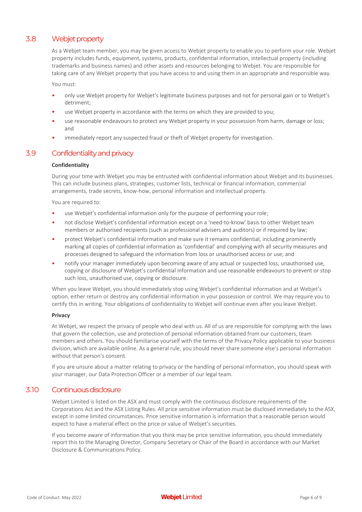### 3.8 Webjet property

As a Webjet team member, you may be given access to Webjet property to enable you to perform your role. Webjet property includes funds, equipment, systems, products, confidential information, intellectual property (including trademarks and business names) and other assets and resources belonging to Webjet. You are responsible for taking care of any Webjet property that you have access to and using them in an appropriate and responsible way.

You must:

- only use Webjet property for Webjet's legitimate business purposes and not for personal gain or to Webjet's detriment;
- use Webjet property in accordance with the terms on which they are provided to you;
- use reasonable endeavours to protect any Webjet property in your possession from harm, damage or loss; and
- immediately report any suspected fraud or theft of Webjet property for investigation.

#### 3.9 Confidentialityand privacy

#### **Confidentiality**

During your time with Webjet you may be entrusted with confidential information about Webjet and its businesses. This can include business plans, strategies, customer lists, technical or financial information, commercial arrangements, trade secrets, know-how, personal information and intellectual property.

You are required to:

- use Webjet's confidential information only for the purpose of performing your role;
- not disclose Webjet's confidential information except on a 'need-to-know' basis to other Webjet team members or authorised recipients (such as professional advisers and auditors) or if required by law;
- protect Webjet's confidential information and make sure it remains confidential, including prominently marking all copies of confidential information as 'confidential' and complying with all security measures and processes designed to safeguard the information from loss or unauthorised access or use; and
- notify your manager immediately upon becoming aware of any actual or suspected loss, unauthorised use, copying or disclosure of Webjet's confidential information and use reasonable endeavours to prevent or stop such loss, unauthorised use, copying or disclosure.

When you leave Webjet, you should immediately stop using Webjet's confidential information and at Webjet's option, either return or destroy any confidential information in your possession or control. We may require you to certify this in writing. Your obligations of confidentiality to Webjet will continue even after you leave Webjet.

#### **Privacy**

At Webjet, we respect the privacy of people who deal with us. All of us are responsible for complying with the laws that govern the collection, use and protection of personal information obtained from our customers, team members and others. You should familiarise yourself with the terms of the Privacy Policy applicable to your business division, which are available online. As a general rule, you should never share someone else's personal information without that person's consent.

If you are unsure about a matter relating to privacy or the handling of personal information, you should speak with your manager, our Data Protection Officer or a member of our legal team.

#### 3.10 Continuous disclosure

Webjet Limited is listed on the ASX and must comply with the continuous disclosure requirements of the Corporations Act and the ASX Listing Rules. All price sensitive information must be disclosed immediately to the ASX, except in some limited circumstances. Price sensitive information is information that a reasonable person would expect to have a material effect on the price or value of Webjet's securities.

If you become aware of information that you think may be price sensitive information, you should immediately report this to the Managing Director, Company Secretary or Chair of the Board in accordance with our Market Disclosure & Communications Policy.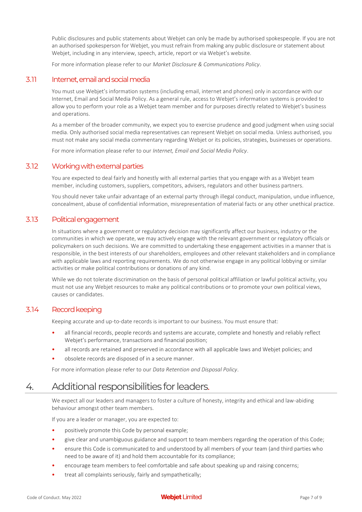Public disclosures and public statements about Webjet can only be made by authorised spokespeople. If you are not an authorised spokesperson for Webjet, you must refrain from making any public disclosure or statement about Webjet, including in any interview, speech, article, report or via Webjet's website.

For more information please refer to our *Market Disclosure & Communications Policy*.

#### 3.11 Internet, email and social media

You must use Webjet's information systems (including email, internet and phones) only in accordance with our Internet, Email and Social Media Policy. As a general rule, access to Webjet's information systems is provided to allow you to perform your role as a Webjet team member and for purposes directly related to Webjet's business and operations.

As a member of the broader community, we expect you to exercise prudence and good judgment when using social media. Only authorised social media representatives can represent Webjet on social media. Unless authorised, you must not make any social media commentary regarding Webjet or its policies, strategies, businesses or operations.

For more information please refer to our *Internet, Email and Social Media Policy*.

#### 3.12 Working with external parties

You are expected to deal fairly and honestly with all external parties that you engage with as a Webjet team member, including customers, suppliers, competitors, advisers, regulators and other business partners.

You should never take unfair advantage of an external party through illegal conduct, manipulation, undue influence, concealment, abuse of confidential information, misrepresentation of material facts or any other unethical practice.

#### 3.13 Political engagement

In situations where a government or regulatory decision may significantly affect our business, industry or the communities in which we operate, we may actively engage with the relevant government or regulatory officials or policymakers on such decisions. We are committed to undertaking these engagement activities in a manner that is responsible, in the best interests of our shareholders, employees and other relevant stakeholders and in compliance with applicable laws and reporting requirements. We do not otherwise engage in any political lobbying or similar activities or make political contributions or donations of any kind.

While we do not tolerate discrimination on the basis of personal political affiliation or lawful political activity, you must not use any Webjet resources to make any political contributions or to promote your own political views, causes or candidates.

#### 3.14 Record keeping

Keeping accurate and up-to-date records is important to our business. You must ensure that:

- all financial records, people records and systems are accurate, complete and honestly and reliably reflect Webjet's performance, transactions and financial position;
- all records are retained and preserved in accordance with all applicable laws and Webjet policies; and
- obsolete records are disposed of in a secure manner.

For more information please refer to our *Data Retention and Disposal Policy*.

# 4. Additional responsibilities for leaders.

We expect all our leaders and managers to foster a culture of honesty, integrity and ethical and law-abiding behaviour amongst other team members.

If you are a leader or manager, you are expected to:

- positively promote this Code by personal example;
- give clear and unambiguous guidance and support to team members regarding the operation of this Code;
- ensure this Code is communicated to and understood by all members of your team (and third parties who need to be aware of it) and hold them accountable for its compliance;
- encourage team members to feel comfortable and safe about speaking up and raising concerns;
- treat all complaints seriously, fairly and sympathetically;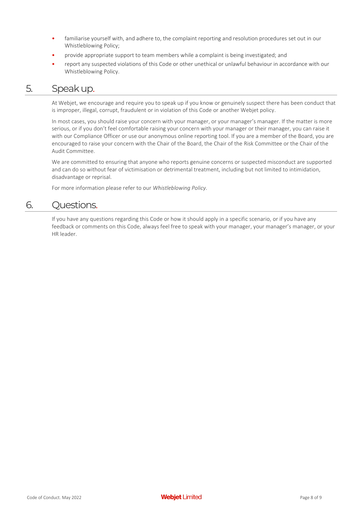- familiarise yourself with, and adhere to, the complaint reporting and resolution procedures set out in our Whistleblowing Policy;
- provide appropriate support to team members while a complaint is being investigated; and
- report any suspected violations of this Code or other unethical or unlawful behaviour in accordance with our Whistleblowing Policy.

## 5. Speak up.

At Webjet, we encourage and require you to speak up if you know or genuinely suspect there has been conduct that is improper, illegal, corrupt, fraudulent or in violation of this Code or another Webjet policy.

In most cases, you should raise your concern with your manager, or your manager's manager. If the matter is more serious, or if you don't feel comfortable raising your concern with your manager or their manager, you can raise it with our Compliance Officer or use our anonymous online reporting tool. If you are a member of the Board, you are encouraged to raise your concern with the Chair of the Board, the Chair of the Risk Committee or the Chair of the Audit Committee.

We are committed to ensuring that anyone who reports genuine concerns or suspected misconduct are supported and can do so without fear of victimisation or detrimental treatment, including but not limited to intimidation, disadvantage or reprisal.

For more information please refer to our *Whistleblowing Policy*.

# 6. Questions.

If you have any questions regarding this Code or how it should apply in a specific scenario, or if you have any feedback or comments on this Code, always feel free to speak with your manager, your manager's manager, or your HR leader.